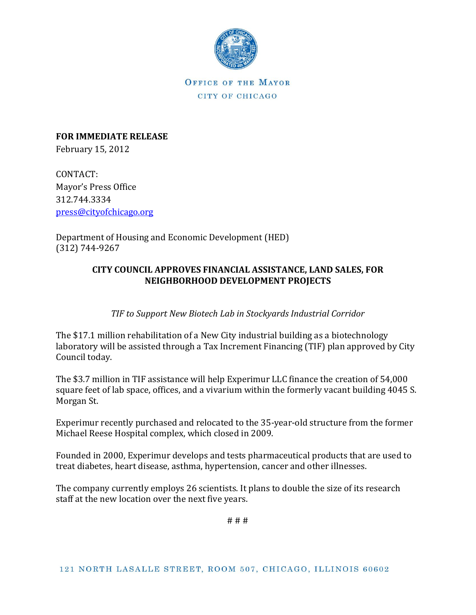

OFFICE OF THE MAYOR CITY OF CHICAGO

**FOR IMMEDIATE RELEASE** February 15, 2012

CONTACT: Mayor's Press Office 312.744.3334 [press@cityofchicago.org](mailto:press@cityofchicago.org)

Department of Housing and Economic Development (HED) (312) 744-9267

# **CITY COUNCIL APPROVES FINANCIAL ASSISTANCE, LAND SALES, FOR NEIGHBORHOOD DEVELOPMENT PROJECTS**

*TIF to Support New Biotech Lab in Stockyards Industrial Corridor*

The \$17.1 million rehabilitation of a New City industrial building as a biotechnology laboratory will be assisted through a Tax Increment Financing (TIF) plan approved by City Council today.

The \$3.7 million in TIF assistance will help Experimur LLC finance the creation of 54,000 square feet of lab space, offices, and a vivarium within the formerly vacant building 4045 S. Morgan St.

Experimur recently purchased and relocated to the 35-year-old structure from the former Michael Reese Hospital complex, which closed in 2009.

Founded in 2000, Experimur develops and tests pharmaceutical products that are used to treat diabetes, heart disease, asthma, hypertension, cancer and other illnesses.

The company currently employs 26 scientists. It plans to double the size of its research staff at the new location over the next five years.

# # #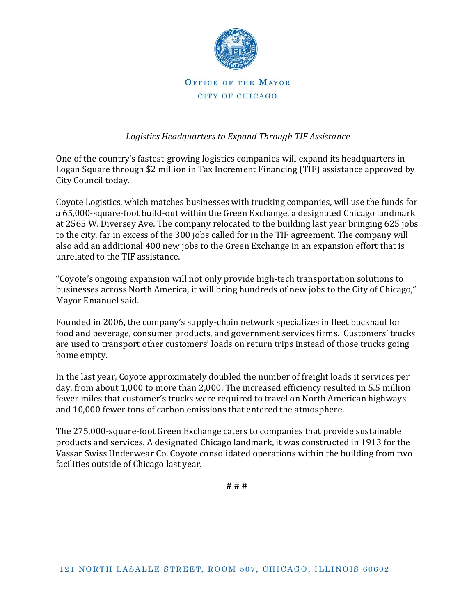

OFFICE OF THE MAYOR CITY OF CHICAGO

## *Logistics Headquarters to Expand Through TIF Assistance*

One of the country's fastest-growing logistics companies will expand its headquarters in Logan Square through \$2 million in Tax Increment Financing (TIF) assistance approved by City Council today.

Coyote Logistics, which matches businesses with trucking companies, will use the funds for a 65,000-square-foot build-out within the Green Exchange, a designated Chicago landmark at 2565 W. Diversey Ave. The company relocated to the building last year bringing 625 jobs to the city, far in excess of the 300 jobs called for in the TIF agreement. The company will also add an additional 400 new jobs to the Green Exchange in an expansion effort that is unrelated to the TIF assistance.

"Coyote's ongoing expansion will not only provide high-tech transportation solutions to businesses across North America, it will bring hundreds of new jobs to the City of Chicago," Mayor Emanuel said.

Founded in 2006, the company's supply-chain network specializes in fleet backhaul for food and beverage, consumer products, and government services firms. Customers' trucks are used to transport other customers' loads on return trips instead of those trucks going home empty.

In the last year, Coyote approximately doubled the number of freight loads it services per day, from about 1,000 to more than 2,000. The increased efficiency resulted in 5.5 million fewer miles that customer's trucks were required to travel on North American highways and 10,000 fewer tons of carbon emissions that entered the atmosphere.

The 275,000-square-foot Green Exchange caters to companies that provide sustainable products and services. A designated Chicago landmark, it was constructed in 1913 for the Vassar Swiss Underwear Co. Coyote consolidated operations within the building from two facilities outside of Chicago last year.

# # #